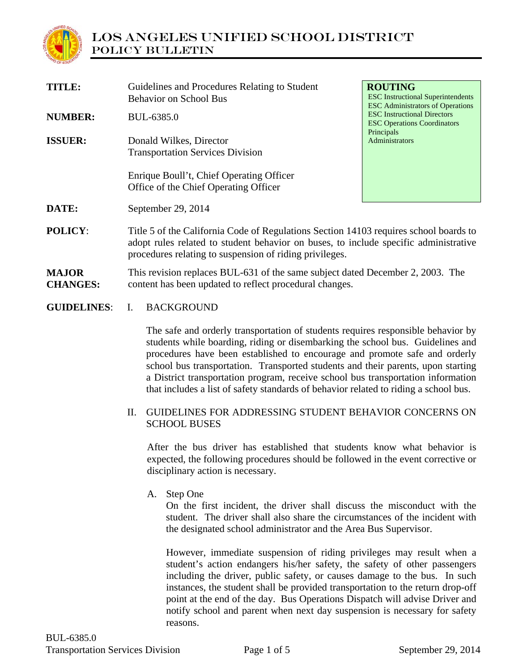

| <b>TITLE:</b>                   | Guidelines and Procedures Relating to Student<br><b>Behavior on School Bus</b>                                                                                                                                                           | <b>ROUTING</b><br><b>ESC</b> Instructional Superintendents<br><b>ESC Administrators of Operations</b> |
|---------------------------------|------------------------------------------------------------------------------------------------------------------------------------------------------------------------------------------------------------------------------------------|-------------------------------------------------------------------------------------------------------|
| <b>NUMBER:</b>                  | BUL-6385.0                                                                                                                                                                                                                               | <b>ESC</b> Instructional Directors<br><b>ESC Operations Coordinators</b>                              |
| <b>ISSUER:</b>                  | Donald Wilkes, Director<br><b>Transportation Services Division</b>                                                                                                                                                                       | Principals<br>Administrators                                                                          |
|                                 | Enrique Boull't, Chief Operating Officer<br>Office of the Chief Operating Officer                                                                                                                                                        |                                                                                                       |
| DATE:                           | September 29, 2014                                                                                                                                                                                                                       |                                                                                                       |
| <b>POLICY:</b>                  | Title 5 of the California Code of Regulations Section 14103 requires school boards to<br>adopt rules related to student behavior on buses, to include specific administrative<br>procedures relating to suspension of riding privileges. |                                                                                                       |
| <b>MAJOR</b><br><b>CHANGES:</b> | This revision replaces BUL-631 of the same subject dated December 2, 2003. The<br>content has been updated to reflect procedural changes.                                                                                                |                                                                                                       |

#### **GUIDELINES**: I. BACKGROUND

The safe and orderly transportation of students requires responsible behavior by students while boarding, riding or disembarking the school bus. Guidelines and procedures have been established to encourage and promote safe and orderly school bus transportation. Transported students and their parents, upon starting a District transportation program, receive school bus transportation information that includes a list of safety standards of behavior related to riding a school bus.

## II. GUIDELINES FOR ADDRESSING STUDENT BEHAVIOR CONCERNS ON SCHOOL BUSES

After the bus driver has established that students know what behavior is expected, the following procedures should be followed in the event corrective or disciplinary action is necessary.

## A. Step One

On the first incident, the driver shall discuss the misconduct with the student. The driver shall also share the circumstances of the incident with the designated school administrator and the Area Bus Supervisor.

However, immediate suspension of riding privileges may result when a student's action endangers his/her safety, the safety of other passengers including the driver, public safety, or causes damage to the bus. In such instances, the student shall be provided transportation to the return drop-off point at the end of the day. Bus Operations Dispatch will advise Driver and notify school and parent when next day suspension is necessary for safety reasons.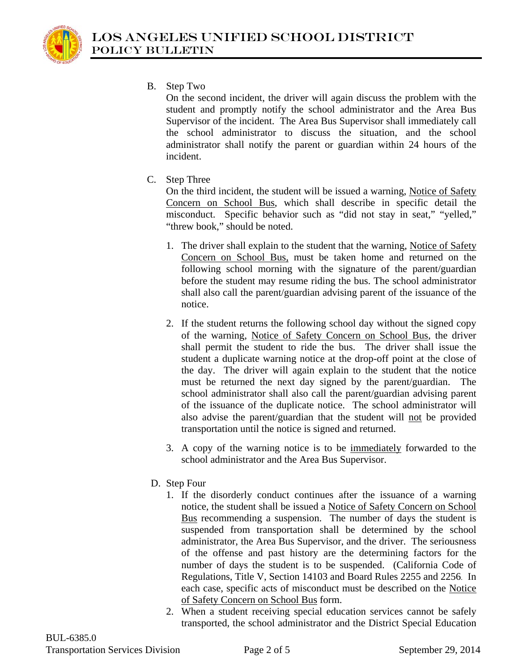

B. Step Two

On the second incident, the driver will again discuss the problem with the student and promptly notify the school administrator and the Area Bus Supervisor of the incident. The Area Bus Supervisor shall immediately call the school administrator to discuss the situation, and the school administrator shall notify the parent or guardian within 24 hours of the incident.

C. Step Three

On the third incident, the student will be issued a warning, Notice of Safety Concern on School Bus, which shall describe in specific detail the misconduct. Specific behavior such as "did not stay in seat," "yelled," "threw book," should be noted.

- 1. The driver shall explain to the student that the warning, Notice of Safety Concern on School Bus, must be taken home and returned on the following school morning with the signature of the parent/guardian before the student may resume riding the bus. The school administrator shall also call the parent/guardian advising parent of the issuance of the notice.
- 2. If the student returns the following school day without the signed copy of the warning, Notice of Safety Concern on School Bus, the driver shall permit the student to ride the bus. The driver shall issue the student a duplicate warning notice at the drop-off point at the close of the day. The driver will again explain to the student that the notice must be returned the next day signed by the parent/guardian. The school administrator shall also call the parent/guardian advising parent of the issuance of the duplicate notice. The school administrator will also advise the parent/guardian that the student will not be provided transportation until the notice is signed and returned.
- 3. A copy of the warning notice is to be immediately forwarded to the school administrator and the Area Bus Supervisor.
- D. Step Four
	- 1. If the disorderly conduct continues after the issuance of a warning notice, the student shall be issued a Notice of Safety Concern on School Bus recommending a suspension. The number of days the student is suspended from transportation shall be determined by the school administrator, the Area Bus Supervisor, and the driver. The seriousness of the offense and past history are the determining factors for the number of days the student is to be suspended. (California Code of Regulations, Title V, Section 14103 and Board Rules 2255 and 2256. In each case, specific acts of misconduct must be described on the Notice of Safety Concern on School Bus form.
	- 2. When a student receiving special education services cannot be safely transported, the school administrator and the District Special Education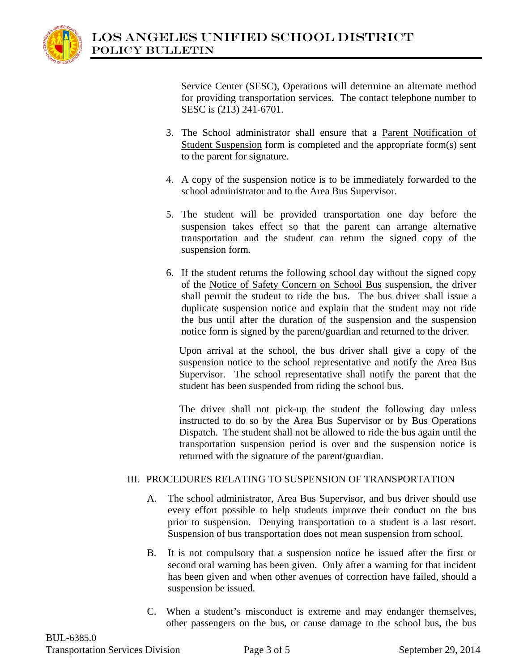

Service Center (SESC), Operations will determine an alternate method for providing transportation services. The contact telephone number to SESC is (213) 241-6701.

- 3. The School administrator shall ensure that a Parent Notification of Student Suspension form is completed and the appropriate form(s) sent to the parent for signature.
- 4. A copy of the suspension notice is to be immediately forwarded to the school administrator and to the Area Bus Supervisor.
- 5. The student will be provided transportation one day before the suspension takes effect so that the parent can arrange alternative transportation and the student can return the signed copy of the suspension form.
- 6. If the student returns the following school day without the signed copy of the Notice of Safety Concern on School Bus suspension, the driver shall permit the student to ride the bus. The bus driver shall issue a duplicate suspension notice and explain that the student may not ride the bus until after the duration of the suspension and the suspension notice form is signed by the parent/guardian and returned to the driver.

Upon arrival at the school, the bus driver shall give a copy of the suspension notice to the school representative and notify the Area Bus Supervisor. The school representative shall notify the parent that the student has been suspended from riding the school bus.

The driver shall not pick-up the student the following day unless instructed to do so by the Area Bus Supervisor or by Bus Operations Dispatch. The student shall not be allowed to ride the bus again until the transportation suspension period is over and the suspension notice is returned with the signature of the parent/guardian.

# III. PROCEDURES RELATING TO SUSPENSION OF TRANSPORTATION

- A. The school administrator, Area Bus Supervisor, and bus driver should use every effort possible to help students improve their conduct on the bus prior to suspension. Denying transportation to a student is a last resort. Suspension of bus transportation does not mean suspension from school.
- B. It is not compulsory that a suspension notice be issued after the first or second oral warning has been given. Only after a warning for that incident has been given and when other avenues of correction have failed, should a suspension be issued.
- C. When a student's misconduct is extreme and may endanger themselves, other passengers on the bus, or cause damage to the school bus, the bus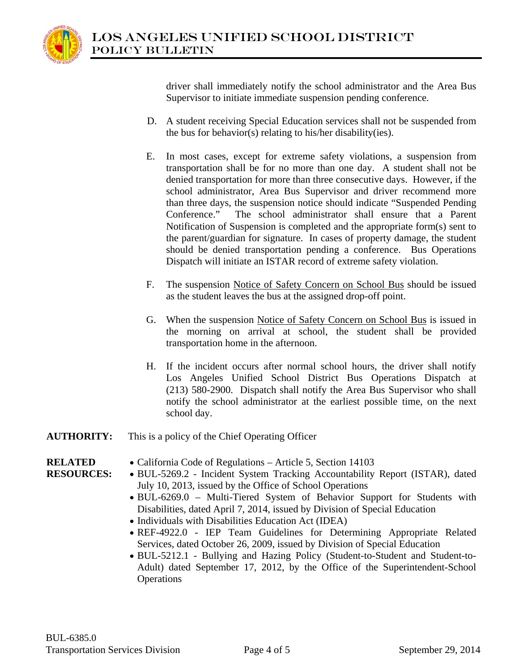driver shall immediately notify the school administrator and the Area Bus Supervisor to initiate immediate suspension pending conference.

- D. A student receiving Special Education services shall not be suspended from the bus for behavior(s) relating to his/her disability(ies).
- E. In most cases, except for extreme safety violations, a suspension from transportation shall be for no more than one day. A student shall not be denied transportation for more than three consecutive days. However, if the school administrator, Area Bus Supervisor and driver recommend more than three days, the suspension notice should indicate "Suspended Pending Conference." The school administrator shall ensure that a Parent Notification of Suspension is completed and the appropriate form(s) sent to the parent/guardian for signature. In cases of property damage, the student should be denied transportation pending a conference. Bus Operations Dispatch will initiate an ISTAR record of extreme safety violation.
- F. The suspension Notice of Safety Concern on School Bus should be issued as the student leaves the bus at the assigned drop-off point.
- G. When the suspension Notice of Safety Concern on School Bus is issued in the morning on arrival at school, the student shall be provided transportation home in the afternoon.
- H. If the incident occurs after normal school hours, the driver shall notify Los Angeles Unified School District Bus Operations Dispatch at (213) 580-2900. Dispatch shall notify the Area Bus Supervisor who shall notify the school administrator at the earliest possible time, on the next school day.
- **AUTHORITY:** This is a policy of the Chief Operating Officer

#### **RELATED RESOURCES:**

- California Code of Regulations Article 5, Section 14103
	- BUL-5269.2 Incident System Tracking Accountability Report (ISTAR), dated July 10, 2013, issued by the Office of School Operations
	- BUL-6269.0 Multi-Tiered System of Behavior Support for Students with Disabilities, dated April 7, 2014, issued by Division of Special Education
	- Individuals with Disabilities Education Act (IDEA)
	- REF-4922.0 IEP Team Guidelines for Determining Appropriate Related Services, dated October 26, 2009, issued by Division of Special Education
	- BUL-5212.1 Bullying and Hazing Policy (Student-to-Student and Student-to-Adult) dated September 17, 2012, by the Office of the Superintendent-School **Operations**